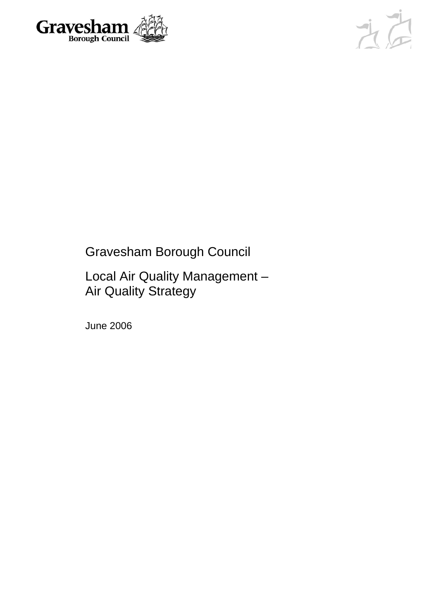



# Gravesham Borough Council

# Local Air Quality Management – Air Quality Strategy

June 2006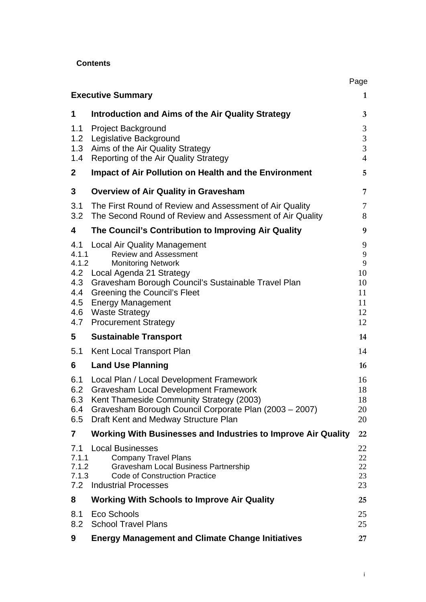| <b>Contents</b> |
|-----------------|
|-----------------|

|                                                          |                                                                                                                                                                                                                                                                                                                    | Page                                            |  |  |  |  |  |
|----------------------------------------------------------|--------------------------------------------------------------------------------------------------------------------------------------------------------------------------------------------------------------------------------------------------------------------------------------------------------------------|-------------------------------------------------|--|--|--|--|--|
|                                                          | <b>Executive Summary</b><br>1                                                                                                                                                                                                                                                                                      |                                                 |  |  |  |  |  |
| $\mathbf 1$                                              | Introduction and Aims of the Air Quality Strategy                                                                                                                                                                                                                                                                  | $\mathbf{3}$                                    |  |  |  |  |  |
| 1.1<br>1.2<br>1.3<br>1.4                                 | <b>Project Background</b><br>Legislative Background<br>Aims of the Air Quality Strategy<br>Reporting of the Air Quality Strategy                                                                                                                                                                                   | 3<br>$\mathfrak 3$<br>3<br>$\overline{4}$       |  |  |  |  |  |
| $\mathbf{2}$                                             | <b>Impact of Air Pollution on Health and the Environment</b>                                                                                                                                                                                                                                                       | 5                                               |  |  |  |  |  |
| 3                                                        | <b>Overview of Air Quality in Gravesham</b>                                                                                                                                                                                                                                                                        | 7                                               |  |  |  |  |  |
| 3.1<br>3.2                                               | The First Round of Review and Assessment of Air Quality<br>The Second Round of Review and Assessment of Air Quality                                                                                                                                                                                                | $\tau$<br>8                                     |  |  |  |  |  |
| 4                                                        | The Council's Contribution to Improving Air Quality                                                                                                                                                                                                                                                                | 9                                               |  |  |  |  |  |
| 4.1<br>4.1.1<br>4.1.2<br>4.3<br>4.4<br>4.5<br>4.6<br>4.7 | <b>Local Air Quality Management</b><br><b>Review and Assessment</b><br><b>Monitoring Network</b><br>4.2 Local Agenda 21 Strategy<br>Gravesham Borough Council's Sustainable Travel Plan<br><b>Greening the Council's Fleet</b><br><b>Energy Management</b><br><b>Waste Strategy</b><br><b>Procurement Strategy</b> | 9<br>9<br>9<br>10<br>10<br>11<br>11<br>12<br>12 |  |  |  |  |  |
| 5                                                        | <b>Sustainable Transport</b>                                                                                                                                                                                                                                                                                       | 14                                              |  |  |  |  |  |
| 5.1                                                      | Kent Local Transport Plan                                                                                                                                                                                                                                                                                          | 14                                              |  |  |  |  |  |
| 6                                                        | <b>Land Use Planning</b>                                                                                                                                                                                                                                                                                           | 16                                              |  |  |  |  |  |
| 6.1<br>6.2<br>6.3<br>6.4<br>6.5                          | Local Plan / Local Development Framework<br><b>Gravesham Local Development Framework</b><br>Kent Thameside Community Strategy (2003)<br>Gravesham Borough Council Corporate Plan (2003 - 2007)<br>Draft Kent and Medway Structure Plan                                                                             | 16<br>18<br>18<br>20<br>20                      |  |  |  |  |  |
| 7                                                        | Working With Businesses and Industries to Improve Air Quality                                                                                                                                                                                                                                                      | 22                                              |  |  |  |  |  |
| 7.1<br>7.1.1<br>7.1.2<br>7.1.3<br>7.2                    | <b>Local Businesses</b><br><b>Company Travel Plans</b><br><b>Gravesham Local Business Partnership</b><br><b>Code of Construction Practice</b><br><b>Industrial Processes</b>                                                                                                                                       | 22<br>22<br>22<br>23<br>23                      |  |  |  |  |  |
| 8                                                        | <b>Working With Schools to Improve Air Quality</b>                                                                                                                                                                                                                                                                 | 25                                              |  |  |  |  |  |
| 8.1<br>8.2                                               | Eco Schools<br><b>School Travel Plans</b>                                                                                                                                                                                                                                                                          | 25<br>25                                        |  |  |  |  |  |
| 9                                                        | <b>Energy Management and Climate Change Initiatives</b>                                                                                                                                                                                                                                                            | 27                                              |  |  |  |  |  |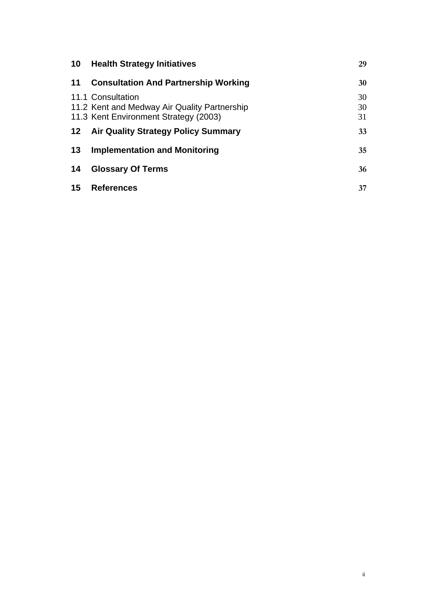| 10      | <b>Health Strategy Initiatives</b>                                                                         | 29             |
|---------|------------------------------------------------------------------------------------------------------------|----------------|
| 11      | <b>Consultation And Partnership Working</b>                                                                | 30             |
|         | 11.1 Consultation<br>11.2 Kent and Medway Air Quality Partnership<br>11.3 Kent Environment Strategy (2003) | 30<br>30<br>31 |
| $12 \,$ | <b>Air Quality Strategy Policy Summary</b>                                                                 | 33             |
| 13      | <b>Implementation and Monitoring</b>                                                                       | 35             |
| 14      | <b>Glossary Of Terms</b>                                                                                   | 36             |
| 15      | <b>References</b>                                                                                          | 37             |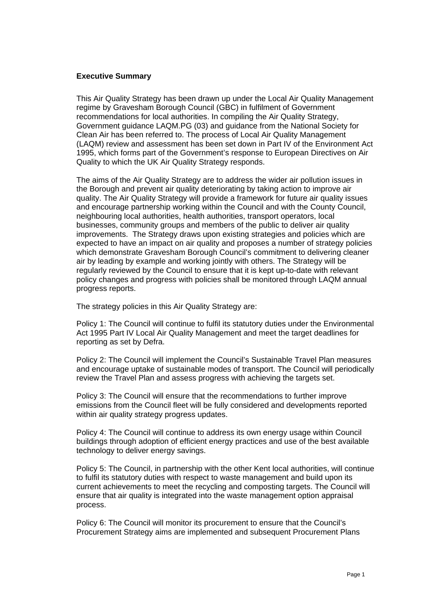#### **Executive Summary**

This Air Quality Strategy has been drawn up under the Local Air Quality Management regime by Gravesham Borough Council (GBC) in fulfilment of Government recommendations for local authorities. In compiling the Air Quality Strategy, Government guidance LAQM.PG (03) and guidance from the National Society for Clean Air has been referred to. The process of Local Air Quality Management (LAQM) review and assessment has been set down in Part IV of the Environment Act 1995, which forms part of the Government's response to European Directives on Air Quality to which the UK Air Quality Strategy responds.

The aims of the Air Quality Strategy are to address the wider air pollution issues in the Borough and prevent air quality deteriorating by taking action to improve air quality. The Air Quality Strategy will provide a framework for future air quality issues and encourage partnership working within the Council and with the County Council, neighbouring local authorities, health authorities, transport operators, local businesses, community groups and members of the public to deliver air quality improvements. The Strategy draws upon existing strategies and policies which are expected to have an impact on air quality and proposes a number of strategy policies which demonstrate Gravesham Borough Council's commitment to delivering cleaner air by leading by example and working jointly with others. The Strategy will be regularly reviewed by the Council to ensure that it is kept up-to-date with relevant policy changes and progress with policies shall be monitored through LAQM annual progress reports.

The strategy policies in this Air Quality Strategy are:

Policy 1: The Council will continue to fulfil its statutory duties under the Environmental Act 1995 Part IV Local Air Quality Management and meet the target deadlines for reporting as set by Defra.

Policy 2: The Council will implement the Council's Sustainable Travel Plan measures and encourage uptake of sustainable modes of transport. The Council will periodically review the Travel Plan and assess progress with achieving the targets set.

Policy 3: The Council will ensure that the recommendations to further improve emissions from the Council fleet will be fully considered and developments reported within air quality strategy progress updates.

Policy 4: The Council will continue to address its own energy usage within Council buildings through adoption of efficient energy practices and use of the best available technology to deliver energy savings.

Policy 5: The Council, in partnership with the other Kent local authorities, will continue to fulfil its statutory duties with respect to waste management and build upon its current achievements to meet the recycling and composting targets. The Council will ensure that air quality is integrated into the waste management option appraisal process.

Policy 6: The Council will monitor its procurement to ensure that the Council's Procurement Strategy aims are implemented and subsequent Procurement Plans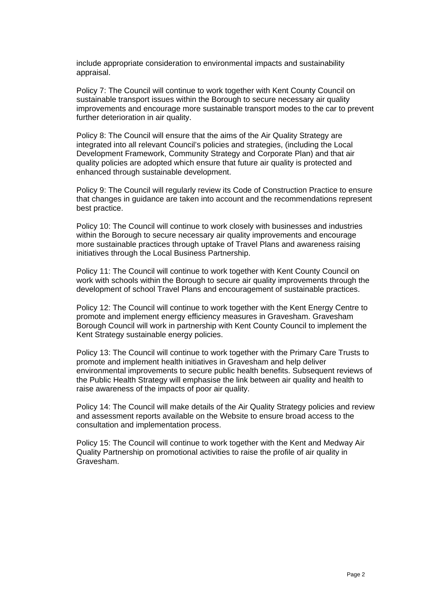include appropriate consideration to environmental impacts and sustainability appraisal.

Policy 7: The Council will continue to work together with Kent County Council on sustainable transport issues within the Borough to secure necessary air quality improvements and encourage more sustainable transport modes to the car to prevent further deterioration in air quality.

Policy 8: The Council will ensure that the aims of the Air Quality Strategy are integrated into all relevant Council's policies and strategies, (including the Local Development Framework, Community Strategy and Corporate Plan) and that air quality policies are adopted which ensure that future air quality is protected and enhanced through sustainable development.

Policy 9: The Council will regularly review its Code of Construction Practice to ensure that changes in guidance are taken into account and the recommendations represent best practice.

Policy 10: The Council will continue to work closely with businesses and industries within the Borough to secure necessary air quality improvements and encourage more sustainable practices through uptake of Travel Plans and awareness raising initiatives through the Local Business Partnership.

Policy 11: The Council will continue to work together with Kent County Council on work with schools within the Borough to secure air quality improvements through the development of school Travel Plans and encouragement of sustainable practices.

Policy 12: The Council will continue to work together with the Kent Energy Centre to promote and implement energy efficiency measures in Gravesham. Gravesham Borough Council will work in partnership with Kent County Council to implement the Kent Strategy sustainable energy policies.

Policy 13: The Council will continue to work together with the Primary Care Trusts to promote and implement health initiatives in Gravesham and help deliver environmental improvements to secure public health benefits. Subsequent reviews of the Public Health Strategy will emphasise the link between air quality and health to raise awareness of the impacts of poor air quality.

Policy 14: The Council will make details of the Air Quality Strategy policies and review and assessment reports available on the Website to ensure broad access to the consultation and implementation process.

Policy 15: The Council will continue to work together with the Kent and Medway Air Quality Partnership on promotional activities to raise the profile of air quality in Gravesham.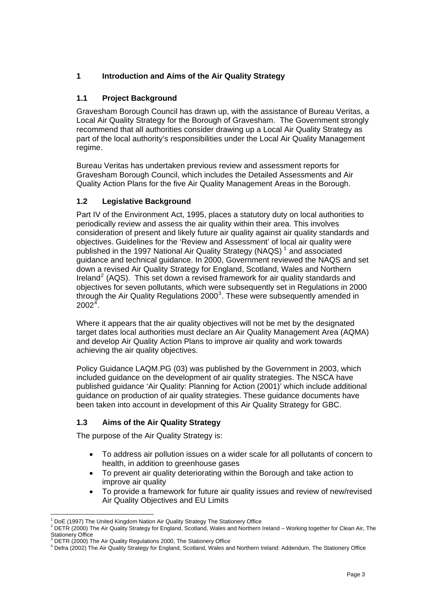# **1 Introduction and Aims of the Air Quality Strategy**

# **1.1 Project Background**

Gravesham Borough Council has drawn up, with the assistance of Bureau Veritas, a Local Air Quality Strategy for the Borough of Gravesham. The Government strongly recommend that all authorities consider drawing up a Local Air Quality Strategy as part of the local authority's responsibilities under the Local Air Quality Management regime.

Bureau Veritas has undertaken previous review and assessment reports for Gravesham Borough Council, which includes the Detailed Assessments and Air Quality Action Plans for the five Air Quality Management Areas in the Borough.

# **1.2 Legislative Background**

Part IV of the Environment Act, 1995, places a statutory duty on local authorities to periodically review and assess the air quality within their area. This involves consideration of present and likely future air quality against air quality standards and objectives. Guidelines for the 'Review and Assessment' of local air quality were published in the [1](#page-5-0)997 National Air Quality Strategy (NAQS)<sup>1</sup> and associated guidance and technical guidance. In 2000, Government reviewed the NAQS and set down a revised Air Quality Strategy for England, Scotland, Wales and Northern Ireland<sup>[2](#page-5-1)</sup> (AQS). This set down a revised framework for air quality standards and objectives for seven pollutants, which were subsequently set in Regulations in 2000 through the Air Quality Regulations  $2000<sup>3</sup>$  $2000<sup>3</sup>$  $2000<sup>3</sup>$ . These were subsequently amended in  $2002^{\bar{4}}$  $2002^{\bar{4}}$  $2002^{\bar{4}}$ .

Where it appears that the air quality objectives will not be met by the designated target dates local authorities must declare an Air Quality Management Area (AQMA) and develop Air Quality Action Plans to improve air quality and work towards achieving the air quality objectives.

Policy Guidance LAQM.PG (03) was published by the Government in 2003, which included guidance on the development of air quality strategies. The NSCA have published guidance 'Air Quality: Planning for Action (2001)' which include additional guidance on production of air quality strategies. These guidance documents have been taken into account in development of this Air Quality Strategy for GBC.

# **1.3 Aims of the Air Quality Strategy**

The purpose of the Air Quality Strategy is:

- To address air pollution issues on a wider scale for all pollutants of concern to health, in addition to greenhouse gases
- To prevent air quality deteriorating within the Borough and take action to improve air quality
- To provide a framework for future air quality issues and review of new/revised Air Quality Objectives and EU Limits

<sup>1</sup> 1 DoE (1997) The United Kingdom Nation Air Quality Strategy The Stationery Office

<span id="page-5-1"></span><span id="page-5-0"></span> $^2$  DETR (2000) The Air Quality Strategy for England, Scotland, Wales and Northern Ireland – Working together for Clean Air, The Stationery Office

<sup>3</sup> DETR (2000) The Air Quality Regulations 2000, The Stationery Office

<span id="page-5-3"></span><span id="page-5-2"></span><sup>4</sup> Defra (2002) The Air Quality Strategy for England, Scotland, Wales and Northern Ireland: Addendum, The Stationery Office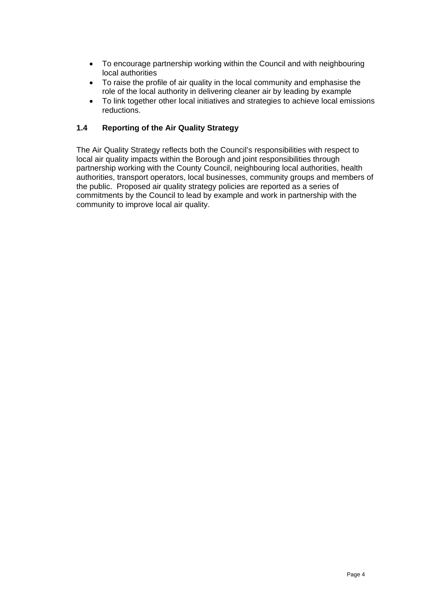- To encourage partnership working within the Council and with neighbouring local authorities
- To raise the profile of air quality in the local community and emphasise the role of the local authority in delivering cleaner air by leading by example
- To link together other local initiatives and strategies to achieve local emissions reductions.

# **1.4 Reporting of the Air Quality Strategy**

The Air Quality Strategy reflects both the Council's responsibilities with respect to local air quality impacts within the Borough and joint responsibilities through partnership working with the County Council, neighbouring local authorities, health authorities, transport operators, local businesses, community groups and members of the public. Proposed air quality strategy policies are reported as a series of commitments by the Council to lead by example and work in partnership with the community to improve local air quality.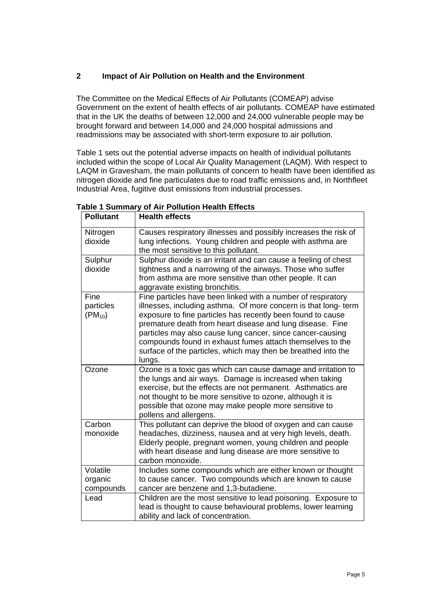# **2 Impact of Air Pollution on Health and the Environment**

The Committee on the Medical Effects of Air Pollutants (COMEAP) advise Government on the extent of health effects of air pollutants. COMEAP have estimated that in the UK the deaths of between 12,000 and 24,000 vulnerable people may be brought forward and between 14,000 and 24,000 hospital admissions and readmissions may be associated with short-term exposure to air pollution.

Table 1 sets out the potential adverse impacts on health of individual pollutants included within the scope of Local Air Quality Management (LAQM). With respect to LAQM in Gravesham, the main pollutants of concern to health have been identified as nitrogen dioxide and fine particulates due to road traffic emissions and, in Northfleet Industrial Area, fugitive dust emissions from industrial processes.

| <b>Pollutant</b>                 | <b>Health effects</b>                                                                                                                                                                                                                                                                                                                                                                                                                                            |  |  |
|----------------------------------|------------------------------------------------------------------------------------------------------------------------------------------------------------------------------------------------------------------------------------------------------------------------------------------------------------------------------------------------------------------------------------------------------------------------------------------------------------------|--|--|
| Nitrogen<br>dioxide              | Causes respiratory illnesses and possibly increases the risk of<br>lung infections. Young children and people with asthma are<br>the most sensitive to this pollutant.                                                                                                                                                                                                                                                                                           |  |  |
| Sulphur<br>dioxide               | Sulphur dioxide is an irritant and can cause a feeling of chest<br>tightness and a narrowing of the airways. Those who suffer<br>from asthma are more sensitive than other people. It can<br>aggravate existing bronchitis.                                                                                                                                                                                                                                      |  |  |
| Fine<br>particles<br>$(PM_{10})$ | Fine particles have been linked with a number of respiratory<br>illnesses, including asthma. Of more concern is that long-term<br>exposure to fine particles has recently been found to cause<br>premature death from heart disease and lung disease. Fine<br>particles may also cause lung cancer, since cancer-causing<br>compounds found in exhaust fumes attach themselves to the<br>surface of the particles, which may then be breathed into the<br>lungs. |  |  |
| Ozone                            | Ozone is a toxic gas which can cause damage and irritation to<br>the lungs and air ways. Damage is increased when taking<br>exercise, but the effects are not permanent. Asthmatics are<br>not thought to be more sensitive to ozone, although it is<br>possible that ozone may make people more sensitive to<br>pollens and allergens.                                                                                                                          |  |  |
| Carbon<br>monoxide               | This pollutant can deprive the blood of oxygen and can cause<br>headaches, dizziness, nausea and at very high levels, death.<br>Elderly people, pregnant women, young children and people<br>with heart disease and lung disease are more sensitive to<br>carbon monoxide.                                                                                                                                                                                       |  |  |
| Volatile<br>organic<br>compounds | Includes some compounds which are either known or thought<br>to cause cancer. Two compounds which are known to cause<br>cancer are benzene and 1,3-butadiene.                                                                                                                                                                                                                                                                                                    |  |  |
| Lead                             | Children are the most sensitive to lead poisoning. Exposure to<br>lead is thought to cause behavioural problems, lower learning<br>ability and lack of concentration.                                                                                                                                                                                                                                                                                            |  |  |

#### **Table 1 Summary of Air Pollution Health Effects**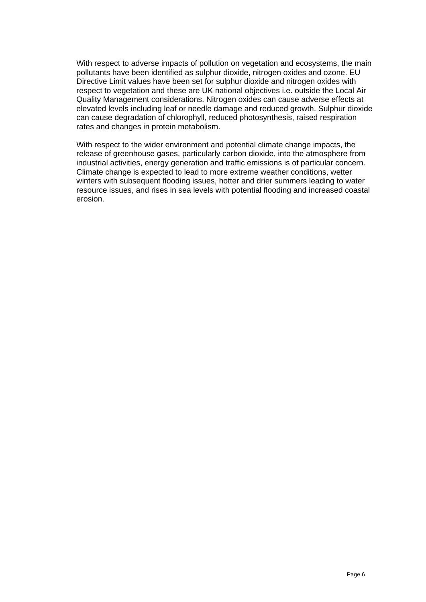With respect to adverse impacts of pollution on vegetation and ecosystems, the main pollutants have been identified as sulphur dioxide, nitrogen oxides and ozone. EU Directive Limit values have been set for sulphur dioxide and nitrogen oxides with respect to vegetation and these are UK national objectives i.e. outside the Local Air Quality Management considerations. Nitrogen oxides can cause adverse effects at elevated levels including leaf or needle damage and reduced growth. Sulphur dioxide can cause degradation of chlorophyll, reduced photosynthesis, raised respiration rates and changes in protein metabolism.

With respect to the wider environment and potential climate change impacts, the release of greenhouse gases, particularly carbon dioxide, into the atmosphere from industrial activities, energy generation and traffic emissions is of particular concern. Climate change is expected to lead to more extreme weather conditions, wetter winters with subsequent flooding issues, hotter and drier summers leading to water resource issues, and rises in sea levels with potential flooding and increased coastal erosion.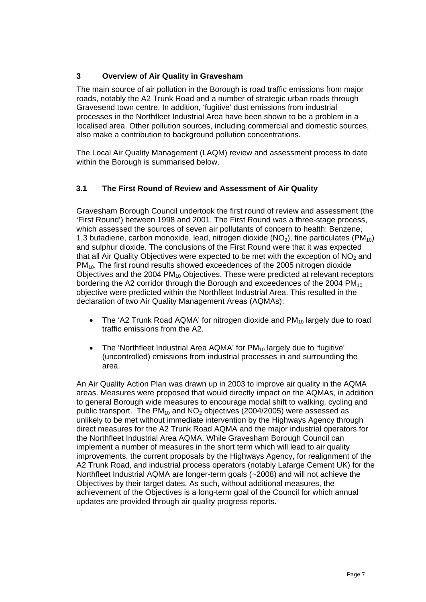# **3 Overview of Air Quality in Gravesham**

The main source of air pollution in the Borough is road traffic emissions from major roads, notably the A2 Trunk Road and a number of strategic urban roads through Gravesend town centre. In addition, 'fugitive' dust emissions from industrial processes in the Northfleet Industrial Area have been shown to be a problem in a localised area. Other pollution sources, including commercial and domestic sources, also make a contribution to background pollution concentrations.

The Local Air Quality Management (LAQM) review and assessment process to date within the Borough is summarised below.

# **3.1 The First Round of Review and Assessment of Air Quality**

Gravesham Borough Council undertook the first round of review and assessment (the 'First Round') between 1998 and 2001. The First Round was a three-stage process, which assessed the sources of seven air pollutants of concern to health: Benzene, 1,3 butadiene, carbon monoxide, lead, nitrogen dioxide ( $NO<sub>2</sub>$ ), fine particulates ( $PM<sub>10</sub>$ ) and sulphur dioxide. The conclusions of the First Round were that it was expected that all Air Quality Objectives were expected to be met with the exception of  $NO<sub>2</sub>$  and PM<sub>10</sub>. The first round results showed exceedences of the 2005 nitrogen dioxide Objectives and the 2004  $PM_{10}$  Objectives. These were predicted at relevant receptors bordering the A2 corridor through the Borough and exceedences of the 2004  $PM_{10}$ objective were predicted within the Northfleet Industrial Area. This resulted in the declaration of two Air Quality Management Areas (AQMAs):

- The 'A2 Trunk Road AQMA' for nitrogen dioxide and  $PM_{10}$  largely due to road traffic emissions from the A2.
- The 'Northfleet Industrial Area AQMA' for PM<sub>10</sub> largely due to 'fugitive' (uncontrolled) emissions from industrial processes in and surrounding the area.

An Air Quality Action Plan was drawn up in 2003 to improve air quality in the AQMA areas. Measures were proposed that would directly impact on the AQMAs, in addition to general Borough wide measures to encourage modal shift to walking, cycling and public transport. The  $PM_{10}$  and NO<sub>2</sub> objectives (2004/2005) were assessed as unlikely to be met without immediate intervention by the Highways Agency through direct measures for the A2 Trunk Road AQMA and the major industrial operators for the Northfleet Industrial Area AQMA. While Gravesham Borough Council can implement a number of measures in the short term which will lead to air quality improvements, the current proposals by the Highways Agency, for realignment of the A2 Trunk Road, and industrial process operators (notably Lafarge Cement UK) for the Northfleet Industrial AQMA are longer-term goals (~2008) and will not achieve the Objectives by their target dates. As such, without additional measures, the achievement of the Objectives is a long-term goal of the Council for which annual updates are provided through air quality progress reports.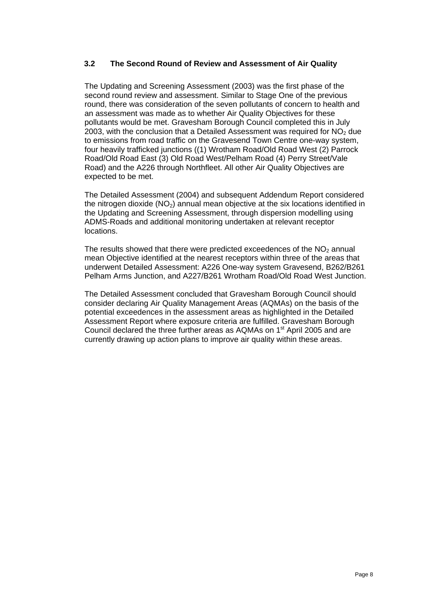# **3.2 The Second Round of Review and Assessment of Air Quality**

The Updating and Screening Assessment (2003) was the first phase of the second round review and assessment. Similar to Stage One of the previous round, there was consideration of the seven pollutants of concern to health and an assessment was made as to whether Air Quality Objectives for these pollutants would be met. Gravesham Borough Council completed this in July 2003, with the conclusion that a Detailed Assessment was required for  $NO<sub>2</sub>$  due to emissions from road traffic on the Gravesend Town Centre one-way system, four heavily trafficked junctions ((1) Wrotham Road/Old Road West (2) Parrock Road/Old Road East (3) Old Road West/Pelham Road (4) Perry Street/Vale Road) and the A226 through Northfleet. All other Air Quality Objectives are expected to be met.

The Detailed Assessment (2004) and subsequent Addendum Report considered the nitrogen dioxide  $(NO<sub>2</sub>)$  annual mean objective at the six locations identified in the Updating and Screening Assessment, through dispersion modelling using ADMS-Roads and additional monitoring undertaken at relevant receptor locations.

The results showed that there were predicted exceedences of the  $NO<sub>2</sub>$  annual mean Objective identified at the nearest receptors within three of the areas that underwent Detailed Assessment: A226 One-way system Gravesend, B262/B261 Pelham Arms Junction, and A227/B261 Wrotham Road/Old Road West Junction.

The Detailed Assessment concluded that Gravesham Borough Council should consider declaring Air Quality Management Areas (AQMAs) on the basis of the potential exceedences in the assessment areas as highlighted in the Detailed Assessment Report where exposure criteria are fulfilled. Gravesham Borough Council declared the three further areas as AQMAs on 1<sup>st</sup> April 2005 and are currently drawing up action plans to improve air quality within these areas.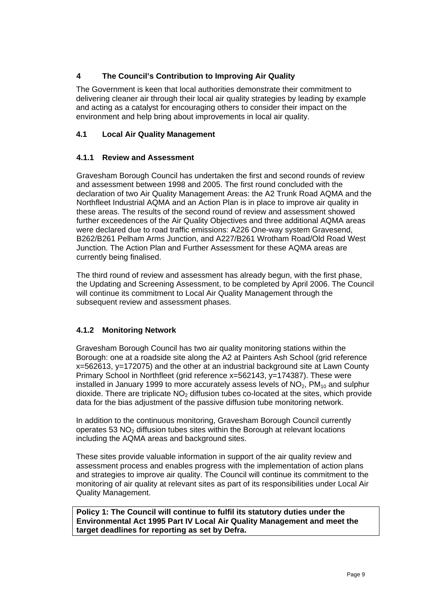# **4 The Council's Contribution to Improving Air Quality**

The Government is keen that local authorities demonstrate their commitment to delivering cleaner air through their local air quality strategies by leading by example and acting as a catalyst for encouraging others to consider their impact on the environment and help bring about improvements in local air quality.

# **4.1 Local Air Quality Management**

# **4.1.1 Review and Assessment**

Gravesham Borough Council has undertaken the first and second rounds of review and assessment between 1998 and 2005. The first round concluded with the declaration of two Air Quality Management Areas: the A2 Trunk Road AQMA and the Northfleet Industrial AQMA and an Action Plan is in place to improve air quality in these areas. The results of the second round of review and assessment showed further exceedences of the Air Quality Objectives and three additional AQMA areas were declared due to road traffic emissions: A226 One-way system Gravesend, B262/B261 Pelham Arms Junction, and A227/B261 Wrotham Road/Old Road West Junction. The Action Plan and Further Assessment for these AQMA areas are currently being finalised.

The third round of review and assessment has already begun, with the first phase, the Updating and Screening Assessment, to be completed by April 2006. The Council will continue its commitment to Local Air Quality Management through the subsequent review and assessment phases.

# **4.1.2 Monitoring Network**

Gravesham Borough Council has two air quality monitoring stations within the Borough: one at a roadside site along the A2 at Painters Ash School (grid reference x=562613, y=172075) and the other at an industrial background site at Lawn County Primary School in Northfleet (grid reference x=562143, y=174387). These were installed in January 1999 to more accurately assess levels of  $NO<sub>2</sub>$ , PM<sub>10</sub> and sulphur dioxide. There are triplicate  $NO<sub>2</sub>$  diffusion tubes co-located at the sites, which provide data for the bias adjustment of the passive diffusion tube monitoring network.

In addition to the continuous monitoring, Gravesham Borough Council currently operates 53  $NO<sub>2</sub>$  diffusion tubes sites within the Borough at relevant locations including the AQMA areas and background sites.

These sites provide valuable information in support of the air quality review and assessment process and enables progress with the implementation of action plans and strategies to improve air quality. The Council will continue its commitment to the monitoring of air quality at relevant sites as part of its responsibilities under Local Air Quality Management.

**Policy 1: The Council will continue to fulfil its statutory duties under the Environmental Act 1995 Part IV Local Air Quality Management and meet the target deadlines for reporting as set by Defra.**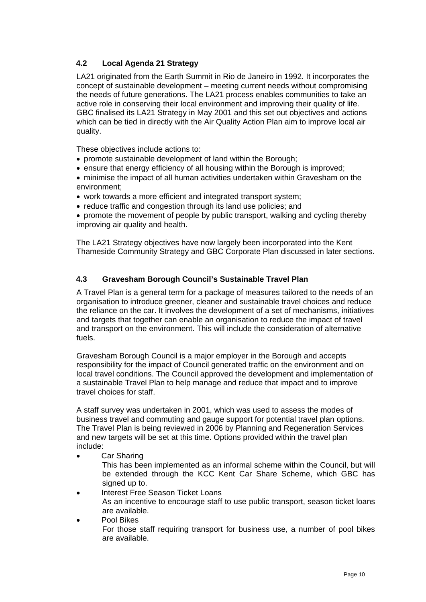# **4.2 Local Agenda 21 Strategy**

LA21 originated from the Earth Summit in Rio de Janeiro in 1992. It incorporates the concept of sustainable development – meeting current needs without compromising the needs of future generations. The LA21 process enables communities to take an active role in conserving their local environment and improving their quality of life. GBC finalised its LA21 Strategy in May 2001 and this set out objectives and actions which can be tied in directly with the Air Quality Action Plan aim to improve local air quality.

These objectives include actions to:

- promote sustainable development of land within the Borough;
- ensure that energy efficiency of all housing within the Borough is improved;
- minimise the impact of all human activities undertaken within Gravesham on the environment;
- work towards a more efficient and integrated transport system;
- reduce traffic and congestion through its land use policies; and
- promote the movement of people by public transport, walking and cycling thereby improving air quality and health.

The LA21 Strategy objectives have now largely been incorporated into the Kent Thameside Community Strategy and GBC Corporate Plan discussed in later sections.

## **4.3 Gravesham Borough Council's Sustainable Travel Plan**

A Travel Plan is a general term for a package of measures tailored to the needs of an organisation to introduce greener, cleaner and sustainable travel choices and reduce the reliance on the car. It involves the development of a set of mechanisms, initiatives and targets that together can enable an organisation to reduce the impact of travel and transport on the environment. This will include the consideration of alternative fuels.

Gravesham Borough Council is a major employer in the Borough and accepts responsibility for the impact of Council generated traffic on the environment and on local travel conditions. The Council approved the development and implementation of a sustainable Travel Plan to help manage and reduce that impact and to improve travel choices for staff.

A staff survey was undertaken in 2001, which was used to assess the modes of business travel and commuting and gauge support for potential travel plan options. The Travel Plan is being reviewed in 2006 by Planning and Regeneration Services and new targets will be set at this time. Options provided within the travel plan include:

Car Sharing

This has been implemented as an informal scheme within the Council, but will be extended through the KCC Kent Car Share Scheme, which GBC has signed up to.

- Interest Free Season Ticket Loans As an incentive to encourage staff to use public transport, season ticket loans are available.
- Pool Bikes For those staff requiring transport for business use, a number of pool bikes are available.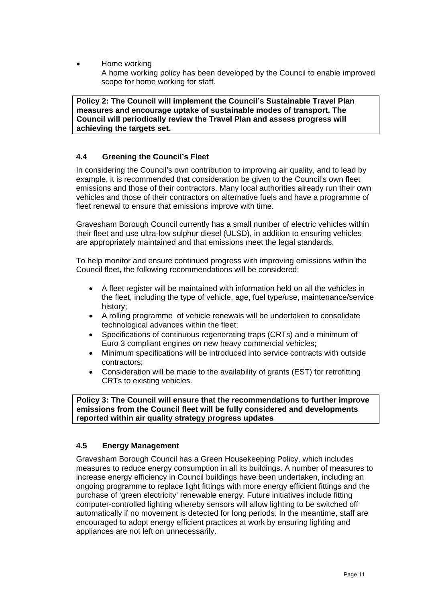• Home working

 A home working policy has been developed by the Council to enable improved scope for home working for staff.

**Policy 2: The Council will implement the Council's Sustainable Travel Plan measures and encourage uptake of sustainable modes of transport. The Council will periodically review the Travel Plan and assess progress will achieving the targets set.** 

# **4.4 Greening the Council's Fleet**

In considering the Council's own contribution to improving air quality, and to lead by example, it is recommended that consideration be given to the Council's own fleet emissions and those of their contractors. Many local authorities already run their own vehicles and those of their contractors on alternative fuels and have a programme of fleet renewal to ensure that emissions improve with time.

Gravesham Borough Council currently has a small number of electric vehicles within their fleet and use ultra-low sulphur diesel (ULSD), in addition to ensuring vehicles are appropriately maintained and that emissions meet the legal standards.

To help monitor and ensure continued progress with improving emissions within the Council fleet, the following recommendations will be considered:

- A fleet register will be maintained with information held on all the vehicles in the fleet, including the type of vehicle, age, fuel type/use, maintenance/service history;
- A rolling programme of vehicle renewals will be undertaken to consolidate technological advances within the fleet;
- Specifications of continuous regenerating traps (CRTs) and a minimum of Euro 3 compliant engines on new heavy commercial vehicles;
- Minimum specifications will be introduced into service contracts with outside contractors;
- Consideration will be made to the availability of grants (EST) for retrofitting CRTs to existing vehicles.

**Policy 3: The Council will ensure that the recommendations to further improve emissions from the Council fleet will be fully considered and developments reported within air quality strategy progress updates** 

## **4.5 Energy Management**

Gravesham Borough Council has a Green Housekeeping Policy, which includes measures to reduce energy consumption in all its buildings. A number of measures to increase energy efficiency in Council buildings have been undertaken, including an ongoing programme to replace light fittings with more energy efficient fittings and the purchase of 'green electricity' renewable energy. Future initiatives include fitting computer-controlled lighting whereby sensors will allow lighting to be switched off automatically if no movement is detected for long periods. In the meantime, staff are encouraged to adopt energy efficient practices at work by ensuring lighting and appliances are not left on unnecessarily.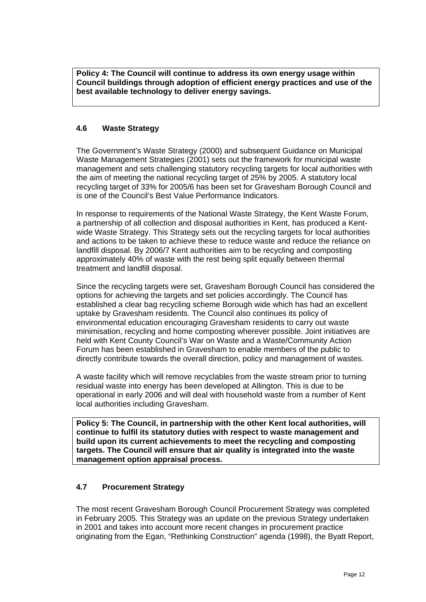**Policy 4: The Council will continue to address its own energy usage within Council buildings through adoption of efficient energy practices and use of the best available technology to deliver energy savings.** 

## **4.6 Waste Strategy**

The Government's Waste Strategy (2000) and subsequent Guidance on Municipal Waste Management Strategies (2001) sets out the framework for municipal waste management and sets challenging statutory recycling targets for local authorities with the aim of meeting the national recycling target of 25% by 2005. A statutory local recycling target of 33% for 2005/6 has been set for Gravesham Borough Council and is one of the Council's Best Value Performance Indicators.

In response to requirements of the National Waste Strategy, the Kent Waste Forum, a partnership of all collection and disposal authorities in Kent, has produced a Kentwide Waste Strategy. This Strategy sets out the recycling targets for local authorities and actions to be taken to achieve these to reduce waste and reduce the reliance on landfill disposal. By 2006/7 Kent authorities aim to be recycling and composting approximately 40% of waste with the rest being split equally between thermal treatment and landfill disposal.

Since the recycling targets were set, Gravesham Borough Council has considered the options for achieving the targets and set policies accordingly. The Council has established a clear bag recycling scheme Borough wide which has had an excellent uptake by Gravesham residents. The Council also continues its policy of environmental education encouraging Gravesham residents to carry out waste minimisation, recycling and home composting wherever possible. Joint initiatives are held with Kent County Council's War on Waste and a Waste/Community Action Forum has been established in Gravesham to enable members of the public to directly contribute towards the overall direction, policy and management of wastes.

A waste facility which will remove recyclables from the waste stream prior to turning residual waste into energy has been developed at Allington. This is due to be operational in early 2006 and will deal with household waste from a number of Kent local authorities including Gravesham.

**Policy 5: The Council, in partnership with the other Kent local authorities, will continue to fulfil its statutory duties with respect to waste management and build upon its current achievements to meet the recycling and composting targets. The Council will ensure that air quality is integrated into the waste management option appraisal process.** 

# **4.7 Procurement Strategy**

The most recent Gravesham Borough Council Procurement Strategy was completed in February 2005. This Strategy was an update on the previous Strategy undertaken in 2001 and takes into account more recent changes in procurement practice originating from the Egan, "Rethinking Construction" agenda (1998), the Byatt Report,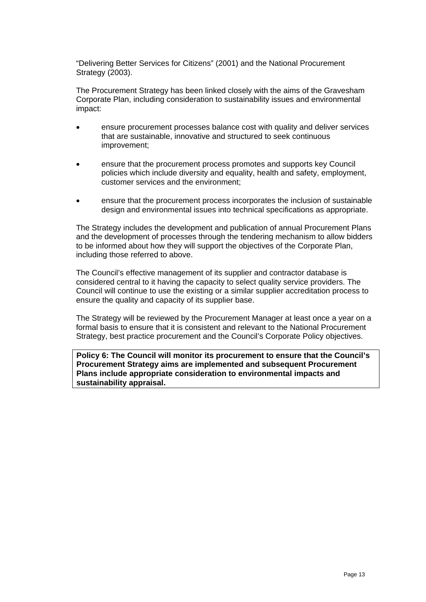"Delivering Better Services for Citizens" (2001) and the National Procurement Strategy (2003).

The Procurement Strategy has been linked closely with the aims of the Gravesham Corporate Plan, including consideration to sustainability issues and environmental impact:

- ensure procurement processes balance cost with quality and deliver services that are sustainable, innovative and structured to seek continuous improvement;
- ensure that the procurement process promotes and supports key Council policies which include diversity and equality, health and safety, employment, customer services and the environment;
- ensure that the procurement process incorporates the inclusion of sustainable design and environmental issues into technical specifications as appropriate.

The Strategy includes the development and publication of annual Procurement Plans and the development of processes through the tendering mechanism to allow bidders to be informed about how they will support the objectives of the Corporate Plan, including those referred to above.

The Council's effective management of its supplier and contractor database is considered central to it having the capacity to select quality service providers. The Council will continue to use the existing or a similar supplier accreditation process to ensure the quality and capacity of its supplier base.

The Strategy will be reviewed by the Procurement Manager at least once a year on a formal basis to ensure that it is consistent and relevant to the National Procurement Strategy, best practice procurement and the Council's Corporate Policy objectives.

**Policy 6: The Council will monitor its procurement to ensure that the Council's Procurement Strategy aims are implemented and subsequent Procurement Plans include appropriate consideration to environmental impacts and sustainability appraisal.**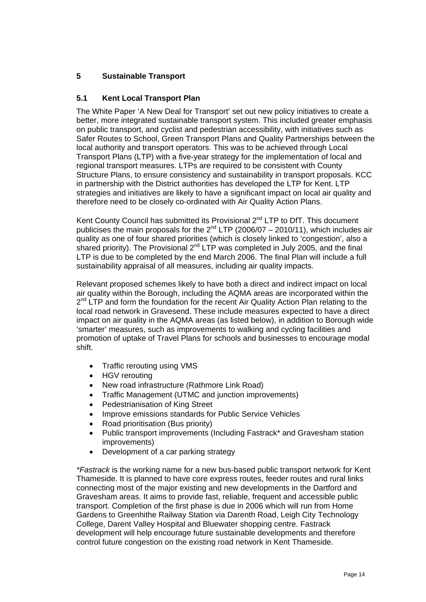# **5 Sustainable Transport**

# **5.1 Kent Local Transport Plan**

The White Paper 'A New Deal for Transport' set out new policy initiatives to create a better, more integrated sustainable transport system. This included greater emphasis on public transport, and cyclist and pedestrian accessibility, with initiatives such as Safer Routes to School, Green Transport Plans and Quality Partnerships between the local authority and transport operators. This was to be achieved through Local Transport Plans (LTP) with a five-year strategy for the implementation of local and regional transport measures. LTPs are required to be consistent with County Structure Plans, to ensure consistency and sustainability in transport proposals. KCC in partnership with the District authorities has developed the LTP for Kent. LTP strategies and initiatives are likely to have a significant impact on local air quality and therefore need to be closely co-ordinated with Air Quality Action Plans.

Kent County Council has submitted its Provisional 2<sup>nd</sup> LTP to DfT. This document publicises the main proposals for the  $2^{nd}$  LTP (2006/07 – 2010/11), which includes air quality as one of four shared priorities (which is closely linked to 'congestion', also a shared priority). The Provisional 2<sup>nd</sup> LTP was completed in July 2005, and the final LTP is due to be completed by the end March 2006. The final Plan will include a full sustainability appraisal of all measures, including air quality impacts.

Relevant proposed schemes likely to have both a direct and indirect impact on local air quality within the Borough, including the AQMA areas are incorporated within the  $2^{nd}$  LTP and form the foundation for the recent Air Quality Action Plan relating to the local road network in Gravesend. These include measures expected to have a direct impact on air quality in the AQMA areas (as listed below), in addition to Borough wide 'smarter' measures, such as improvements to walking and cycling facilities and promotion of uptake of Travel Plans for schools and businesses to encourage modal shift.

- Traffic rerouting using VMS
- HGV rerouting
- New road infrastructure (Rathmore Link Road)
- Traffic Management (UTMC and junction improvements)
- Pedestrianisation of King Street
- Improve emissions standards for Public Service Vehicles
- Road prioritisation (Bus priority)
- Public transport improvements (Including Fastrack\* and Gravesham station improvements)
- Development of a car parking strategy

*\*Fastrack* is the working name for a new bus-based public transport network for Kent Thameside. It is planned to have core express routes, feeder routes and rural links connecting most of the major existing and new developments in the Dartford and Gravesham areas. It aims to provide fast, reliable, frequent and accessible public transport. Completion of the first phase is due in 2006 which will run from Home Gardens to Greenhithe Railway Station via Darenth Road, Leigh City Technology College, Darent Valley Hospital and Bluewater shopping centre. Fastrack development will help encourage future sustainable developments and therefore control future congestion on the existing road network in Kent Thameside.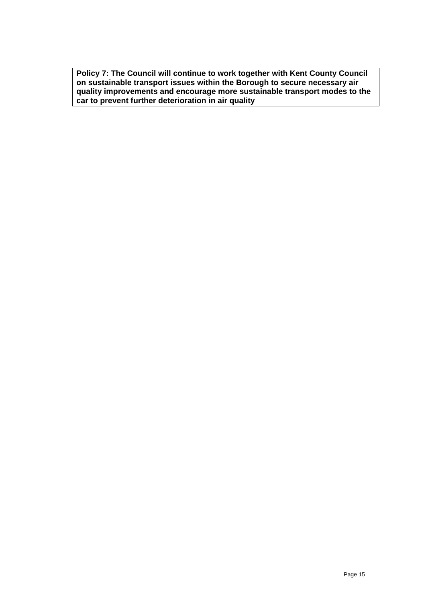**Policy 7: The Council will continue to work together with Kent County Council on sustainable transport issues within the Borough to secure necessary air quality improvements and encourage more sustainable transport modes to the car to prevent further deterioration in air quality**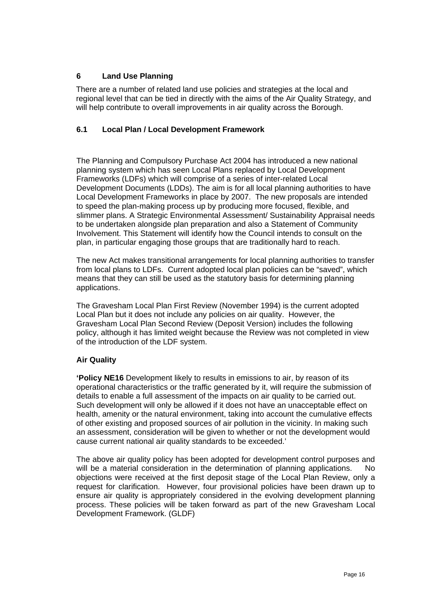# **6 Land Use Planning**

There are a number of related land use policies and strategies at the local and regional level that can be tied in directly with the aims of the Air Quality Strategy, and will help contribute to overall improvements in air quality across the Borough.

## **6.1 Local Plan / Local Development Framework**

The Planning and Compulsory Purchase Act 2004 has introduced a new national planning system which has seen Local Plans replaced by Local Development Frameworks (LDFs) which will comprise of a series of inter-related Local Development Documents (LDDs). The aim is for all local planning authorities to have Local Development Frameworks in place by 2007. The new proposals are intended to speed the plan-making process up by producing more focused, flexible, and slimmer plans. A Strategic Environmental Assessment/ Sustainability Appraisal needs to be undertaken alongside plan preparation and also a Statement of Community Involvement. This Statement will identify how the Council intends to consult on the plan, in particular engaging those groups that are traditionally hard to reach.

The new Act makes transitional arrangements for local planning authorities to transfer from local plans to LDFs. Current adopted local plan policies can be "saved", which means that they can still be used as the statutory basis for determining planning applications.

The Gravesham Local Plan First Review (November 1994) is the current adopted Local Plan but it does not include any policies on air quality. However, the Gravesham Local Plan Second Review (Deposit Version) includes the following policy, although it has limited weight because the Review was not completed in view of the introduction of the LDF system.

## **Air Quality**

**'Policy NE16** Development likely to results in emissions to air, by reason of its operational characteristics or the traffic generated by it, will require the submission of details to enable a full assessment of the impacts on air quality to be carried out. Such development will only be allowed if it does not have an unacceptable effect on health, amenity or the natural environment, taking into account the cumulative effects of other existing and proposed sources of air pollution in the vicinity. In making such an assessment, consideration will be given to whether or not the development would cause current national air quality standards to be exceeded.'

The above air quality policy has been adopted for development control purposes and will be a material consideration in the determination of planning applications. No objections were received at the first deposit stage of the Local Plan Review, only a request for clarification. However, four provisional policies have been drawn up to ensure air quality is appropriately considered in the evolving development planning process. These policies will be taken forward as part of the new Gravesham Local Development Framework. (GLDF)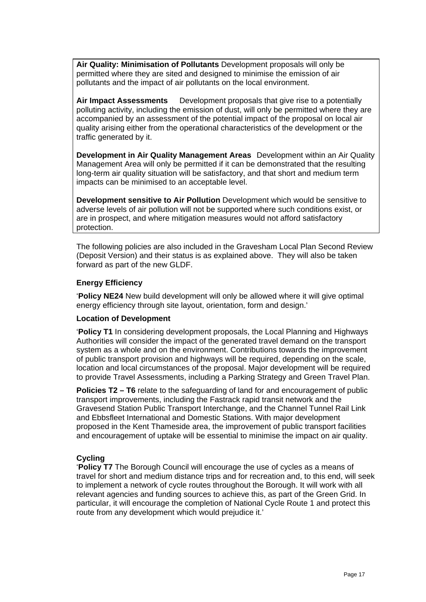**Air Quality: Minimisation of Pollutants** Development proposals will only be permitted where they are sited and designed to minimise the emission of air pollutants and the impact of air pollutants on the local environment.

**Air Impact Assessments** Development proposals that give rise to a potentially polluting activity, including the emission of dust, will only be permitted where they are accompanied by an assessment of the potential impact of the proposal on local air quality arising either from the operational characteristics of the development or the traffic generated by it.

**Development in Air Quality Management Areas** Development within an Air Quality Management Area will only be permitted if it can be demonstrated that the resulting long-term air quality situation will be satisfactory, and that short and medium term impacts can be minimised to an acceptable level.

**Development sensitive to Air Pollution** Development which would be sensitive to adverse levels of air pollution will not be supported where such conditions exist, or are in prospect, and where mitigation measures would not afford satisfactory protection.

The following policies are also included in the Gravesham Local Plan Second Review (Deposit Version) and their status is as explained above. They will also be taken forward as part of the new GLDF.

#### **Energy Efficiency**

'**Policy NE24** New build development will only be allowed where it will give optimal energy efficiency through site layout, orientation, form and design.'

#### **Location of Development**

'**Policy T1** In considering development proposals, the Local Planning and Highways Authorities will consider the impact of the generated travel demand on the transport system as a whole and on the environment. Contributions towards the improvement of public transport provision and highways will be required, depending on the scale, location and local circumstances of the proposal. Major development will be required to provide Travel Assessments, including a Parking Strategy and Green Travel Plan.

**Policies T2 – T6** relate to the safeguarding of land for and encouragement of public transport improvements, including the Fastrack rapid transit network and the Gravesend Station Public Transport Interchange, and the Channel Tunnel Rail Link and Ebbsfleet International and Domestic Stations. With major development proposed in the Kent Thameside area, the improvement of public transport facilities and encouragement of uptake will be essential to minimise the impact on air quality.

#### **Cycling**

'**Policy T7** The Borough Council will encourage the use of cycles as a means of travel for short and medium distance trips and for recreation and, to this end, will seek to implement a network of cycle routes throughout the Borough. It will work with all relevant agencies and funding sources to achieve this, as part of the Green Grid. In particular, it will encourage the completion of National Cycle Route 1 and protect this route from any development which would prejudice it.'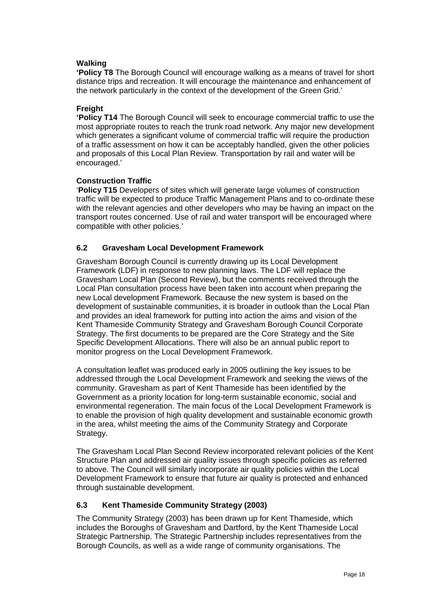# **Walking**

**'Policy T8** The Borough Council will encourage walking as a means of travel for short distance trips and recreation. It will encourage the maintenance and enhancement of the network particularly in the context of the development of the Green Grid.'

## **Freight**

**'Policy T14** The Borough Council will seek to encourage commercial traffic to use the most appropriate routes to reach the trunk road network. Any major new development which generates a significant volume of commercial traffic will require the production of a traffic assessment on how it can be acceptably handled, given the other policies and proposals of this Local Plan Review. Transportation by rail and water will be encouraged.'

## **Construction Traffic**

'**Policy T15** Developers of sites which will generate large volumes of construction traffic will be expected to produce Traffic Management Plans and to co-ordinate these with the relevant agencies and other developers who may be having an impact on the transport routes concerned. Use of rail and water transport will be encouraged where compatible with other policies.'

# **6.2 Gravesham Local Development Framework**

Gravesham Borough Council is currently drawing up its Local Development Framework (LDF) in response to new planning laws. The LDF will replace the Gravesham Local Plan (Second Review), but the comments received through the Local Plan consultation process have been taken into account when preparing the new Local development Framework. Because the new system is based on the development of sustainable communities, it is broader in outlook than the Local Plan and provides an ideal framework for putting into action the aims and vision of the Kent Thameside Community Strategy and Gravesham Borough Council Corporate Strategy. The first documents to be prepared are the Core Strategy and the Site Specific Development Allocations. There will also be an annual public report to monitor progress on the Local Development Framework.

A consultation leaflet was produced early in 2005 outlining the key issues to be addressed through the Local Development Framework and seeking the views of the community. Gravesham as part of Kent Thameside has been identified by the Government as a priority location for long-term sustainable economic, social and environmental regeneration. The main focus of the Local Development Framework is to enable the provision of high quality development and sustainable economic growth in the area, whilst meeting the aims of the Community Strategy and Corporate Strategy.

The Gravesham Local Plan Second Review incorporated relevant policies of the Kent Structure Plan and addressed air quality issues through specific policies as referred to above. The Council will similarly incorporate air quality policies within the Local Development Framework to ensure that future air quality is protected and enhanced through sustainable development.

# **6.3 Kent Thameside Community Strategy (2003)**

The Community Strategy (2003) has been drawn up for Kent Thameside, which includes the Boroughs of Gravesham and Dartford, by the Kent Thameside Local Strategic Partnership. The Strategic Partnership includes representatives from the Borough Councils, as well as a wide range of community organisations. The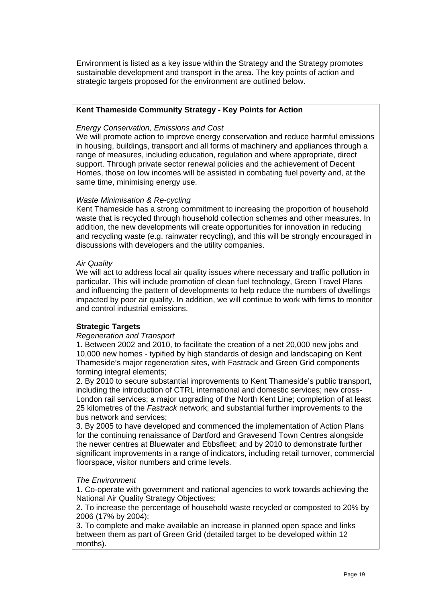Environment is listed as a key issue within the Strategy and the Strategy promotes sustainable development and transport in the area. The key points of action and strategic targets proposed for the environment are outlined below.

### **Kent Thameside Community Strategy - Key Points for Action**

#### *Energy Conservation, Emissions and Cost*

We will promote action to improve energy conservation and reduce harmful emissions in housing, buildings, transport and all forms of machinery and appliances through a range of measures, including education, regulation and where appropriate, direct support. Through private sector renewal policies and the achievement of Decent Homes, those on low incomes will be assisted in combating fuel poverty and, at the same time, minimising energy use.

#### *Waste Minimisation & Re-cycling*

Kent Thameside has a strong commitment to increasing the proportion of household waste that is recycled through household collection schemes and other measures. In addition, the new developments will create opportunities for innovation in reducing and recycling waste (e.g. rainwater recycling), and this will be strongly encouraged in discussions with developers and the utility companies.

#### *Air Quality*

We will act to address local air quality issues where necessary and traffic pollution in particular. This will include promotion of clean fuel technology, Green Travel Plans and influencing the pattern of developments to help reduce the numbers of dwellings impacted by poor air quality. In addition, we will continue to work with firms to monitor and control industrial emissions.

## **Strategic Targets**

#### *Regeneration and Transport*

1. Between 2002 and 2010, to facilitate the creation of a net 20,000 new jobs and 10,000 new homes - typified by high standards of design and landscaping on Kent Thameside's major regeneration sites, with Fastrack and Green Grid components forming integral elements;

2. By 2010 to secure substantial improvements to Kent Thameside's public transport, including the introduction of CTRL international and domestic services; new cross-London rail services; a major upgrading of the North Kent Line; completion of at least 25 kilometres of the *Fastrack* network; and substantial further improvements to the bus network and services;

3. By 2005 to have developed and commenced the implementation of Action Plans for the continuing renaissance of Dartford and Gravesend Town Centres alongside the newer centres at Bluewater and Ebbsfleet; and by 2010 to demonstrate further significant improvements in a range of indicators, including retail turnover, commercial floorspace, visitor numbers and crime levels.

#### *The Environment*

1. Co-operate with government and national agencies to work towards achieving the National Air Quality Strategy Objectives;

2. To increase the percentage of household waste recycled or composted to 20% by 2006 (17% by 2004);

3. To complete and make available an increase in planned open space and links between them as part of Green Grid (detailed target to be developed within 12 months).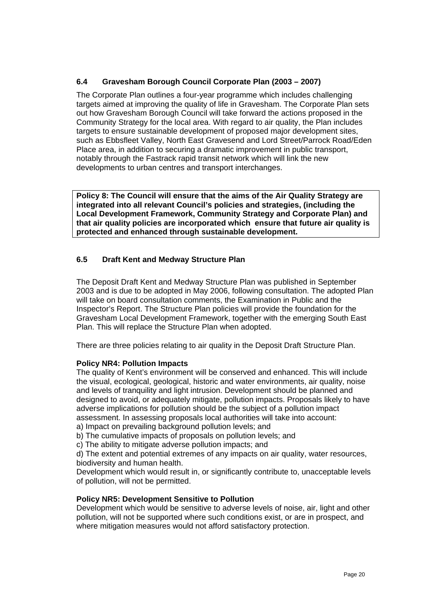# **6.4 Gravesham Borough Council Corporate Plan (2003 – 2007)**

The Corporate Plan outlines a four-year programme which includes challenging targets aimed at improving the quality of life in Gravesham. The Corporate Plan sets out how Gravesham Borough Council will take forward the actions proposed in the Community Strategy for the local area. With regard to air quality, the Plan includes targets to ensure sustainable development of proposed major development sites, such as Ebbsfleet Valley, North East Gravesend and Lord Street/Parrock Road/Eden Place area, in addition to securing a dramatic improvement in public transport, notably through the Fastrack rapid transit network which will link the new developments to urban centres and transport interchanges.

**Policy 8: The Council will ensure that the aims of the Air Quality Strategy are integrated into all relevant Council's policies and strategies, (including the Local Development Framework, Community Strategy and Corporate Plan) and that air quality policies are incorporated which ensure that future air quality is protected and enhanced through sustainable development.** 

# **6.5 Draft Kent and Medway Structure Plan**

The Deposit Draft Kent and Medway Structure Plan was published in September 2003 and is due to be adopted in May 2006, following consultation. The adopted Plan will take on board consultation comments, the Examination in Public and the Inspector's Report. The Structure Plan policies will provide the foundation for the Gravesham Local Development Framework, together with the emerging South East Plan. This will replace the Structure Plan when adopted.

There are three policies relating to air quality in the Deposit Draft Structure Plan.

#### **Policy NR4: Pollution Impacts**

The quality of Kent's environment will be conserved and enhanced. This will include the visual, ecological, geological, historic and water environments, air quality, noise and levels of tranquility and light intrusion. Development should be planned and designed to avoid, or adequately mitigate, pollution impacts. Proposals likely to have adverse implications for pollution should be the subject of a pollution impact assessment. In assessing proposals local authorities will take into account:

a) Impact on prevailing background pollution levels; and

b) The cumulative impacts of proposals on pollution levels; and

c) The ability to mitigate adverse pollution impacts; and

d) The extent and potential extremes of any impacts on air quality, water resources, biodiversity and human health.

Development which would result in, or significantly contribute to, unacceptable levels of pollution, will not be permitted.

#### **Policy NR5: Development Sensitive to Pollution**

Development which would be sensitive to adverse levels of noise, air, light and other pollution, will not be supported where such conditions exist, or are in prospect, and where mitigation measures would not afford satisfactory protection.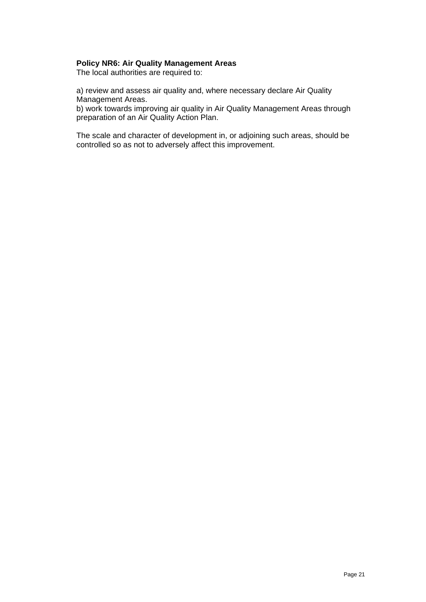### **Policy NR6: Air Quality Management Areas**

The local authorities are required to:

a) review and assess air quality and, where necessary declare Air Quality Management Areas.

b) work towards improving air quality in Air Quality Management Areas through preparation of an Air Quality Action Plan.

The scale and character of development in, or adjoining such areas, should be controlled so as not to adversely affect this improvement.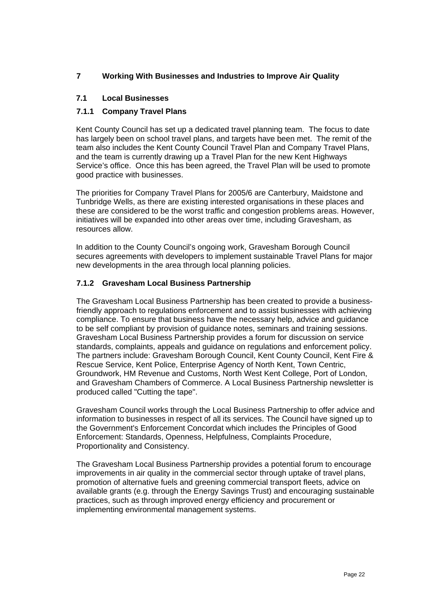# **7 Working With Businesses and Industries to Improve Air Quality**

## **7.1 Local Businesses**

## **7.1.1 Company Travel Plans**

Kent County Council has set up a dedicated travel planning team. The focus to date has largely been on school travel plans, and targets have been met. The remit of the team also includes the Kent County Council Travel Plan and Company Travel Plans, and the team is currently drawing up a Travel Plan for the new Kent Highways Service's office. Once this has been agreed, the Travel Plan will be used to promote good practice with businesses.

The priorities for Company Travel Plans for 2005/6 are Canterbury, Maidstone and Tunbridge Wells, as there are existing interested organisations in these places and these are considered to be the worst traffic and congestion problems areas. However, initiatives will be expanded into other areas over time, including Gravesham, as resources allow.

In addition to the County Council's ongoing work, Gravesham Borough Council secures agreements with developers to implement sustainable Travel Plans for major new developments in the area through local planning policies.

## **7.1.2 Gravesham Local Business Partnership**

The Gravesham Local Business Partnership has been created to provide a businessfriendly approach to regulations enforcement and to assist businesses with achieving compliance. To ensure that business have the necessary help, advice and guidance to be self compliant by provision of guidance notes, seminars and training sessions. Gravesham Local Business Partnership provides a forum for discussion on service standards, complaints, appeals and guidance on regulations and enforcement policy. The partners include: Gravesham Borough Council, Kent County Council, Kent Fire & Rescue Service, Kent Police, Enterprise Agency of North Kent, Town Centric, Groundwork, HM Revenue and Customs, North West Kent College, Port of London, and Gravesham Chambers of Commerce. A Local Business Partnership newsletter is produced called "Cutting the tape".

Gravesham Council works through the Local Business Partnership to offer advice and information to businesses in respect of all its services. The Council have signed up to the Government's Enforcement Concordat which includes the Principles of Good Enforcement: Standards, Openness, Helpfulness, Complaints Procedure, Proportionality and Consistency.

The Gravesham Local Business Partnership provides a potential forum to encourage improvements in air quality in the commercial sector through uptake of travel plans, promotion of alternative fuels and greening commercial transport fleets, advice on available grants (e.g. through the Energy Savings Trust) and encouraging sustainable practices, such as through improved energy efficiency and procurement or implementing environmental management systems.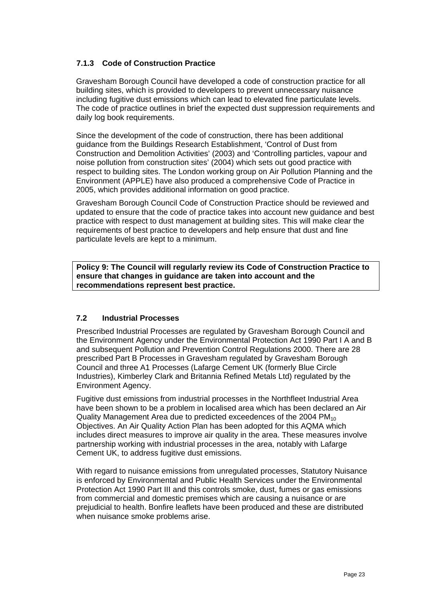# **7.1.3 Code of Construction Practice**

Gravesham Borough Council have developed a code of construction practice for all building sites, which is provided to developers to prevent unnecessary nuisance including fugitive dust emissions which can lead to elevated fine particulate levels. The code of practice outlines in brief the expected dust suppression requirements and daily log book requirements.

Since the development of the code of construction, there has been additional guidance from the Buildings Research Establishment, 'Control of Dust from Construction and Demolition Activities' (2003) and 'Controlling particles, vapour and noise pollution from construction sites' (2004) which sets out good practice with respect to building sites. The London working group on Air Pollution Planning and the Environment (APPLE) have also produced a comprehensive Code of Practice in 2005, which provides additional information on good practice.

Gravesham Borough Council Code of Construction Practice should be reviewed and updated to ensure that the code of practice takes into account new guidance and best practice with respect to dust management at building sites. This will make clear the requirements of best practice to developers and help ensure that dust and fine particulate levels are kept to a minimum.

**Policy 9: The Council will regularly review its Code of Construction Practice to ensure that changes in guidance are taken into account and the recommendations represent best practice.** 

## **7.2 Industrial Processes**

Prescribed Industrial Processes are regulated by Gravesham Borough Council and the Environment Agency under the Environmental Protection Act 1990 Part I A and B and subsequent Pollution and Prevention Control Regulations 2000. There are 28 prescribed Part B Processes in Gravesham regulated by Gravesham Borough Council and three A1 Processes (Lafarge Cement UK (formerly Blue Circle Industries), Kimberley Clark and Britannia Refined Metals Ltd) regulated by the Environment Agency.

Fugitive dust emissions from industrial processes in the Northfleet Industrial Area have been shown to be a problem in localised area which has been declared an Air Quality Management Area due to predicted exceedences of the 2004  $PM_{10}$ Objectives. An Air Quality Action Plan has been adopted for this AQMA which includes direct measures to improve air quality in the area. These measures involve partnership working with industrial processes in the area, notably with Lafarge Cement UK, to address fugitive dust emissions.

With regard to nuisance emissions from unregulated processes, Statutory Nuisance is enforced by Environmental and Public Health Services under the Environmental Protection Act 1990 Part III and this controls smoke, dust, fumes or gas emissions from commercial and domestic premises which are causing a nuisance or are prejudicial to health. Bonfire leaflets have been produced and these are distributed when nuisance smoke problems arise.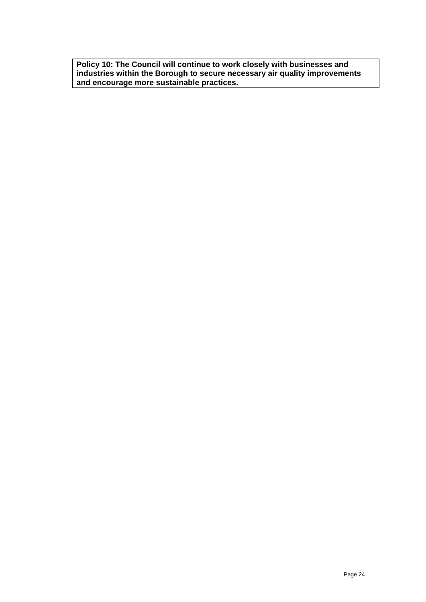**Policy 10: The Council will continue to work closely with businesses and industries within the Borough to secure necessary air quality improvements and encourage more sustainable practices.**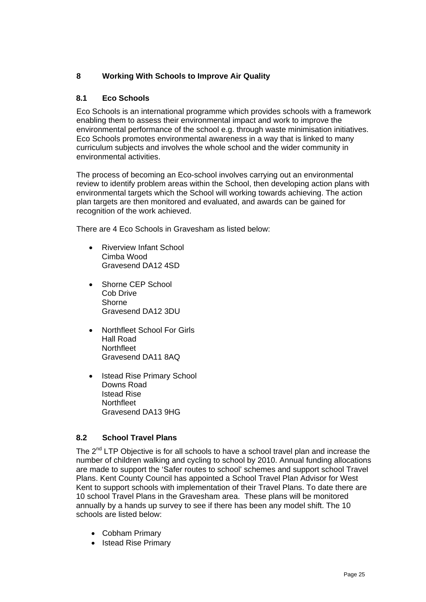# **8 Working With Schools to Improve Air Quality**

## **8.1 Eco Schools**

Eco Schools is an international programme which provides schools with a framework enabling them to assess their environmental impact and work to improve the environmental performance of the school e.g. through waste minimisation initiatives. Eco Schools promotes environmental awareness in a way that is linked to many curriculum subjects and involves the whole school and the wider community in environmental activities.

The process of becoming an Eco-school involves carrying out an environmental review to identify problem areas within the School, then developing action plans with environmental targets which the School will working towards achieving. The action plan targets are then monitored and evaluated, and awards can be gained for recognition of the work achieved.

There are 4 Eco Schools in Gravesham as listed below:

- Riverview Infant School Cimba Wood Gravesend DA12 4SD
- Shorne CEP School Cob Drive Shorne Gravesend DA12 3DU
- Northfleet School For Girls Hall Road **Northfleet** Gravesend DA11 8AQ
- Istead Rise Primary School Downs Road Istead Rise **Northfleet** Gravesend DA13 9HG

## **8.2 School Travel Plans**

The  $2<sup>nd</sup> LTP$  Objective is for all schools to have a school travel plan and increase the number of children walking and cycling to school by 2010. Annual funding allocations are made to support the 'Safer routes to school' schemes and support school Travel Plans. Kent County Council has appointed a School Travel Plan Advisor for West Kent to support schools with implementation of their Travel Plans. To date there are 10 school Travel Plans in the Gravesham area. These plans will be monitored annually by a hands up survey to see if there has been any model shift. The 10 schools are listed below:

- Cobham Primary
- Istead Rise Primary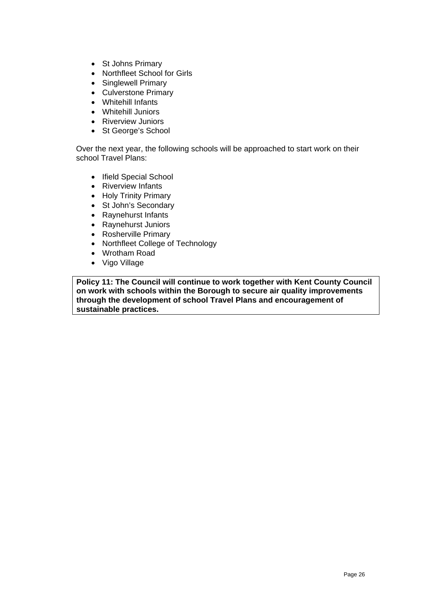- St Johns Primary
- Northfleet School for Girls
- Singlewell Primary
- Culverstone Primary
- Whitehill Infants
- Whitehill Juniors
- Riverview Juniors
- St George's School

Over the next year, the following schools will be approached to start work on their school Travel Plans:

- Ifield Special School
- Riverview Infants
- Holy Trinity Primary
- St John's Secondary
- Raynehurst Infants
- Raynehurst Juniors
- Rosherville Primary
- Northfleet College of Technology
- Wrotham Road
- Vigo Village

**Policy 11: The Council will continue to work together with Kent County Council on work with schools within the Borough to secure air quality improvements through the development of school Travel Plans and encouragement of sustainable practices.**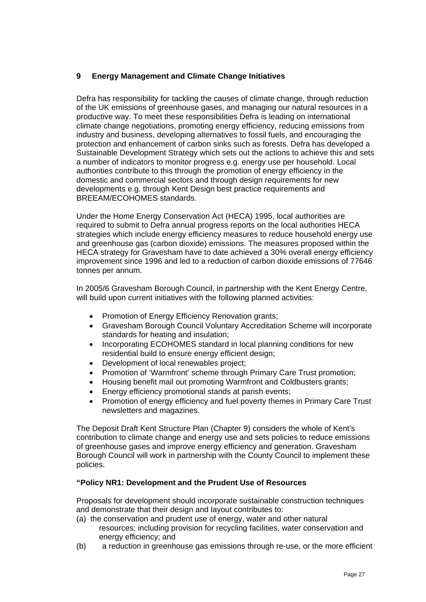# **9 Energy Management and Climate Change Initiatives**

Defra has responsibility for tackling the causes of climate change, through reduction of the UK emissions of greenhouse gases, and managing our natural resources in a productive way. To meet these responsibilities Defra is leading on international climate change negotiations, promoting energy efficiency, reducing emissions from industry and business, developing alternatives to fossil fuels, and encouraging the protection and enhancement of carbon sinks such as forests. Defra has developed a Sustainable Development Strategy which sets out the actions to achieve this and sets a number of indicators to monitor progress e.g. energy use per household. Local authorities contribute to this through the promotion of energy efficiency in the domestic and commercial sectors and through design requirements for new developments e.g. through Kent Design best practice requirements and BREEAM/ECOHOMES standards.

Under the Home Energy Conservation Act (HECA) 1995, local authorities are required to submit to Defra annual progress reports on the local authorities HECA strategies which include energy efficiency measures to reduce household energy use and greenhouse gas (carbon dioxide) emissions. The measures proposed within the HECA strategy for Gravesham have to date achieved a 30% overall energy efficiency improvement since 1996 and led to a reduction of carbon dioxide emissions of 77646 tonnes per annum.

In 2005/6 Gravesham Borough Council, in partnership with the Kent Energy Centre, will build upon current initiatives with the following planned activities:

- Promotion of Energy Efficiency Renovation grants;
- Gravesham Borough Council Voluntary Accreditation Scheme will incorporate standards for heating and insulation;
- Incorporating ECOHOMES standard in local planning conditions for new residential build to ensure energy efficient design;
- Development of local renewables project;
- Promotion of 'Warmfront' scheme through Primary Care Trust promotion;
- Housing benefit mail out promoting Warmfront and Coldbusters grants;
- Energy efficiency promotional stands at parish events;
- Promotion of energy efficiency and fuel poverty themes in Primary Care Trust newsletters and magazines.

The Deposit Draft Kent Structure Plan (Chapter 9) considers the whole of Kent's contribution to climate change and energy use and sets policies to reduce emissions of greenhouse gases and improve energy efficiency and generation. Gravesham Borough Council will work in partnership with the County Council to implement these policies.

## **"Policy NR1: Development and the Prudent Use of Resources**

Proposals for development should incorporate sustainable construction techniques and demonstrate that their design and layout contributes to:

- (a) the conservation and prudent use of energy, water and other natural resources; including provision for recycling facilities, water conservation and energy efficiency; and
- (b) a reduction in greenhouse gas emissions through re-use, or the more efficient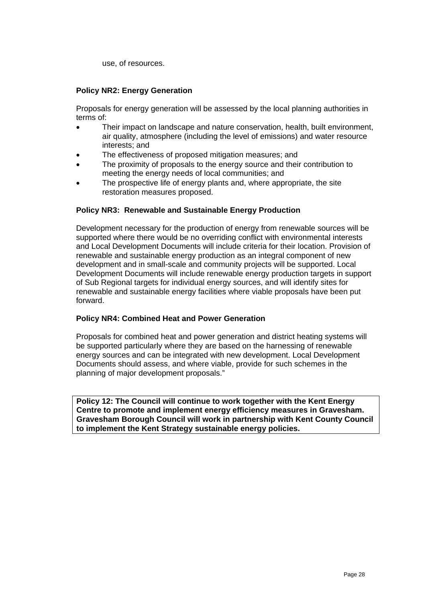use, of resources.

## **Policy NR2: Energy Generation**

Proposals for energy generation will be assessed by the local planning authorities in terms of:

- Their impact on landscape and nature conservation, health, built environment, air quality, atmosphere (including the level of emissions) and water resource interests; and
- The effectiveness of proposed mitigation measures; and
- The proximity of proposals to the energy source and their contribution to meeting the energy needs of local communities; and
- The prospective life of energy plants and, where appropriate, the site restoration measures proposed.

#### **Policy NR3: Renewable and Sustainable Energy Production**

Development necessary for the production of energy from renewable sources will be supported where there would be no overriding conflict with environmental interests and Local Development Documents will include criteria for their location. Provision of renewable and sustainable energy production as an integral component of new development and in small-scale and community projects will be supported. Local Development Documents will include renewable energy production targets in support of Sub Regional targets for individual energy sources, and will identify sites for renewable and sustainable energy facilities where viable proposals have been put forward.

#### **Policy NR4: Combined Heat and Power Generation**

Proposals for combined heat and power generation and district heating systems will be supported particularly where they are based on the harnessing of renewable energy sources and can be integrated with new development. Local Development Documents should assess, and where viable, provide for such schemes in the planning of major development proposals."

**Policy 12: The Council will continue to work together with the Kent Energy Centre to promote and implement energy efficiency measures in Gravesham. Gravesham Borough Council will work in partnership with Kent County Council to implement the Kent Strategy sustainable energy policies.**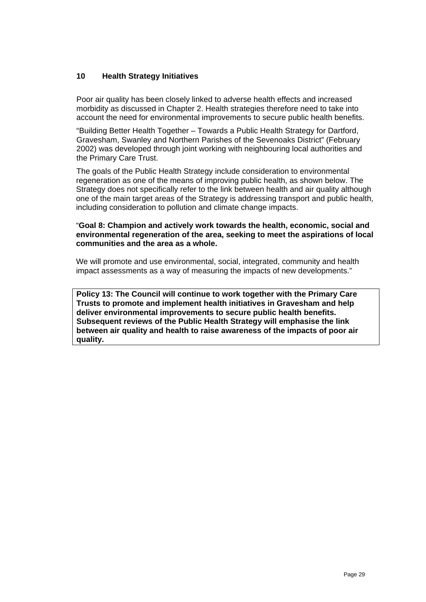## **10 Health Strategy Initiatives**

Poor air quality has been closely linked to adverse health effects and increased morbidity as discussed in Chapter 2. Health strategies therefore need to take into account the need for environmental improvements to secure public health benefits.

"Building Better Health Together – Towards a Public Health Strategy for Dartford, Gravesham, Swanley and Northern Parishes of the Sevenoaks District" (February 2002) was developed through joint working with neighbouring local authorities and the Primary Care Trust.

The goals of the Public Health Strategy include consideration to environmental regeneration as one of the means of improving public health, as shown below. The Strategy does not specifically refer to the link between health and air quality although one of the main target areas of the Strategy is addressing transport and public health, including consideration to pollution and climate change impacts.

#### "**Goal 8: Champion and actively work towards the health, economic, social and environmental regeneration of the area, seeking to meet the aspirations of local communities and the area as a whole.**

We will promote and use environmental, social, integrated, community and health impact assessments as a way of measuring the impacts of new developments."

**Policy 13: The Council will continue to work together with the Primary Care Trusts to promote and implement health initiatives in Gravesham and help deliver environmental improvements to secure public health benefits. Subsequent reviews of the Public Health Strategy will emphasise the link between air quality and health to raise awareness of the impacts of poor air quality.**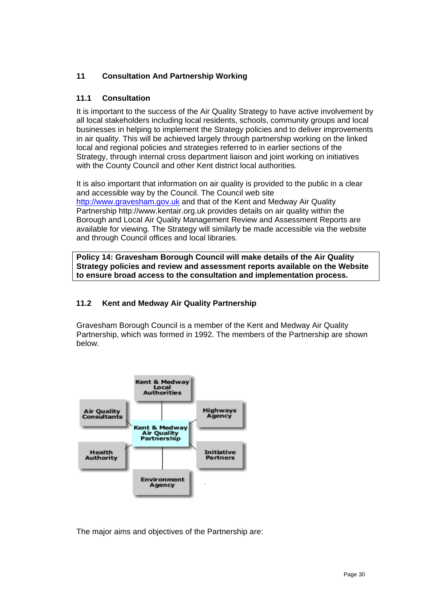# **11 Consultation And Partnership Working**

# **11.1 Consultation**

It is important to the success of the Air Quality Strategy to have active involvement by all local stakeholders including local residents, schools, community groups and local businesses in helping to implement the Strategy policies and to deliver improvements in air quality. This will be achieved largely through partnership working on the linked local and regional policies and strategies referred to in earlier sections of the Strategy, through internal cross department liaison and joint working on initiatives with the County Council and other Kent district local authorities.

It is also important that information on air quality is provided to the public in a clear and accessible way by the Council. The Council web site [http://www.gravesham.gov.uk](http://www.gravesham.gov.uk/) and that of the Kent and Medway Air Quality Partnership http://www.kentair.org.uk provides details on air quality within the Borough and Local Air Quality Management Review and Assessment Reports are available for viewing. The Strategy will similarly be made accessible via the website and through Council offices and local libraries.

**Policy 14: Gravesham Borough Council will make details of the Air Quality Strategy policies and review and assessment reports available on the Website to ensure broad access to the consultation and implementation process.** 

# **11.2 Kent and Medway Air Quality Partnership**

Gravesham Borough Council is a member of the Kent and Medway Air Quality Partnership, which was formed in 1992. The members of the Partnership are shown below.



The major aims and objectives of the Partnership are: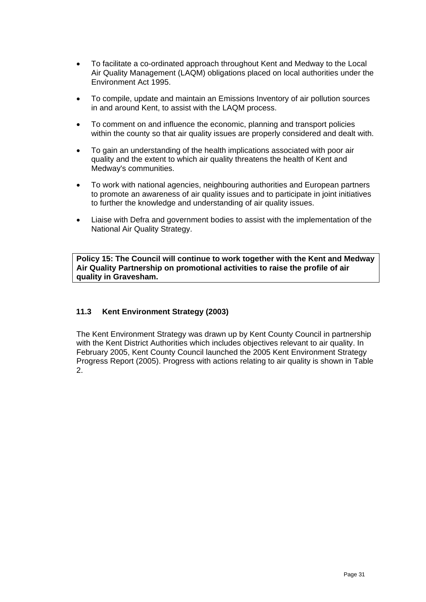- To facilitate a co-ordinated approach throughout Kent and Medway to the Local Air Quality Management (LAQM) obligations placed on local authorities under the Environment Act 1995.
- To compile, update and maintain an Emissions Inventory of air pollution sources in and around Kent, to assist with the LAQM process.
- To comment on and influence the economic, planning and transport policies within the county so that air quality issues are properly considered and dealt with.
- To gain an understanding of the health implications associated with poor air quality and the extent to which air quality threatens the health of Kent and Medway's communities.
- To work with national agencies, neighbouring authorities and European partners to promote an awareness of air quality issues and to participate in joint initiatives to further the knowledge and understanding of air quality issues.
- Liaise with Defra and government bodies to assist with the implementation of the National Air Quality Strategy.

**Policy 15: The Council will continue to work together with the Kent and Medway Air Quality Partnership on promotional activities to raise the profile of air quality in Gravesham.** 

# **11.3 Kent Environment Strategy (2003)**

The Kent Environment Strategy was drawn up by Kent County Council in partnership with the Kent District Authorities which includes objectives relevant to air quality. In February 2005, Kent County Council launched the 2005 Kent Environment Strategy Progress Report (2005). Progress with actions relating to air quality is shown in Table 2.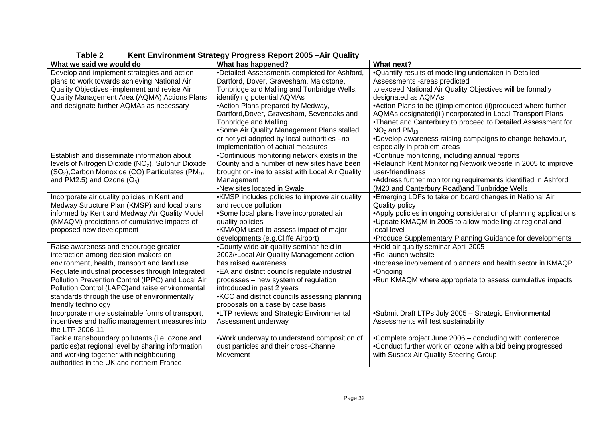| What we said we would do                                                                              | $10011$ Ellinomiant attacagg $100$ gi 000 Report 2000 - 7th additional<br>What has happened? | What next?                                                        |
|-------------------------------------------------------------------------------------------------------|----------------------------------------------------------------------------------------------|-------------------------------------------------------------------|
| Develop and implement strategies and action                                                           | •Detailed Assessments completed for Ashford,                                                 | .Quantify results of modelling undertaken in Detailed             |
| plans to work towards achieving National Air                                                          | Dartford, Dover, Gravesham, Maidstone,                                                       | Assessments -areas predicted                                      |
| Quality Objectives -implement and revise Air                                                          | Tonbridge and Malling and Tunbridge Wells,                                                   | to exceed National Air Quality Objectives will be formally        |
| Quality Management Area (AQMA) Actions Plans                                                          | identifying potential AQMAs                                                                  | designated as AQMAs                                               |
| and designate further AQMAs as necessary                                                              | •Action Plans prepared by Medway,                                                            | •Action Plans to be (i)implemented (ii)produced where further     |
|                                                                                                       | Dartford, Dover, Gravesham, Sevenoaks and                                                    | AQMAs designated(iii)incorporated in Local Transport Plans        |
|                                                                                                       | Tonbridge and Malling                                                                        | .Thanet and Canterbury to proceed to Detailed Assessment for      |
|                                                                                                       | •Some Air Quality Management Plans stalled                                                   | $NO2$ and $PM10$                                                  |
|                                                                                                       | or not yet adopted by local authorities -no                                                  | .Develop awareness raising campaigns to change behaviour,         |
|                                                                                                       | implementation of actual measures                                                            | especially in problem areas                                       |
| Establish and disseminate information about                                                           | •Continuous monitoring network exists in the                                                 | •Continue monitoring, including annual reports                    |
| levels of Nitrogen Dioxide (NO2), Sulphur Dioxide                                                     | County and a number of new sites have been                                                   | .Relaunch Kent Monitoring Network website in 2005 to improve      |
| (SO <sub>2</sub> ), Carbon Monoxide (CO) Particulates (PM <sub>10</sub>                               | brought on-line to assist with Local Air Quality                                             | user-friendliness                                                 |
| and PM2.5) and Ozone $(O_3)$                                                                          | Management                                                                                   | •Address further monitoring requirements identified in Ashford    |
|                                                                                                       | .New sites located in Swale                                                                  | (M20 and Canterbury Road) and Tunbridge Wells                     |
| Incorporate air quality policies in Kent and                                                          | •KMSP includes policies to improve air quality                                               | •Emerging LDFs to take on board changes in National Air           |
| Medway Structure Plan (KMSP) and local plans                                                          | and reduce pollution                                                                         | Quality policy                                                    |
| informed by Kent and Medway Air Quality Model                                                         | •Some local plans have incorporated air                                                      | •Apply policies in ongoing consideration of planning applications |
| (KMAQM) predictions of cumulative impacts of                                                          | quality policies                                                                             | •Update KMAQM in 2005 to allow modelling at regional and          |
| proposed new development                                                                              | •KMAQM used to assess impact of major                                                        | local level                                                       |
|                                                                                                       | developments (e.g.Cliffe Airport)                                                            | •Produce Supplementary Planning Guidance for developments         |
| Raise awareness and encourage greater                                                                 | .County wide air quality seminar held in                                                     | •Hold air quality seminar April 2005                              |
| interaction among decision-makers on                                                                  | 2003/•Local Air Quality Management action                                                    | •Re-launch website                                                |
| environment, health, transport and land use                                                           | has raised awareness                                                                         | .Increase involvement of planners and health sector in KMAQP      |
| Regulate industrial processes through Integrated<br>Pollution Prevention Control (IPPC) and Local Air | •EA and district councils regulate industrial                                                | •Ongoing                                                          |
| Pollution Control (LAPC) and raise environmental                                                      | processes - new system of regulation<br>introduced in past 2 years                           | .Run KMAQM where appropriate to assess cumulative impacts         |
| standards through the use of environmentally                                                          | •KCC and district councils assessing planning                                                |                                                                   |
| friendly technology                                                                                   | proposals on a case by case basis                                                            |                                                                   |
| Incorporate more sustainable forms of transport,                                                      | •LTP reviews and Strategic Environmental                                                     | •Submit Draft LTPs July 2005 - Strategic Environmental            |
| incentives and traffic management measures into                                                       | Assessment underway                                                                          | Assessments will test sustainability                              |
| the LTP 2006-11                                                                                       |                                                                                              |                                                                   |
| Tackle transboundary pollutants (i.e. ozone and                                                       | .Work underway to understand composition of                                                  | •Complete project June 2006 - concluding with conference          |
| particles) at regional level by sharing information                                                   | dust particles and their cross-Channel                                                       | •Conduct further work on ozone with a bid being progressed        |
| and working together with neighbouring                                                                | Movement                                                                                     | with Sussex Air Quality Steering Group                            |
| authorities in the UK and northern France                                                             |                                                                                              |                                                                   |

**Table 2 Kent Environment Strategy Progress Report 2005 –Air Quality**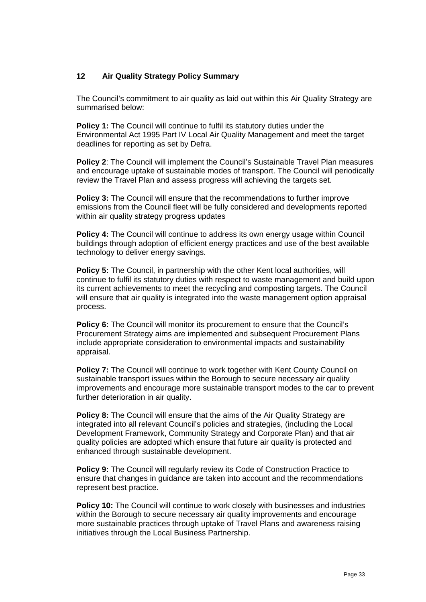## **12 Air Quality Strategy Policy Summary**

The Council's commitment to air quality as laid out within this Air Quality Strategy are summarised below:

**Policy 1:** The Council will continue to fulfil its statutory duties under the Environmental Act 1995 Part IV Local Air Quality Management and meet the target deadlines for reporting as set by Defra.

**Policy 2**: The Council will implement the Council's Sustainable Travel Plan measures and encourage uptake of sustainable modes of transport. The Council will periodically review the Travel Plan and assess progress will achieving the targets set.

**Policy 3:** The Council will ensure that the recommendations to further improve emissions from the Council fleet will be fully considered and developments reported within air quality strategy progress updates

**Policy 4:** The Council will continue to address its own energy usage within Council buildings through adoption of efficient energy practices and use of the best available technology to deliver energy savings.

**Policy 5:** The Council, in partnership with the other Kent local authorities, will continue to fulfil its statutory duties with respect to waste management and build upon its current achievements to meet the recycling and composting targets. The Council will ensure that air quality is integrated into the waste management option appraisal process.

**Policy 6:** The Council will monitor its procurement to ensure that the Council's Procurement Strategy aims are implemented and subsequent Procurement Plans include appropriate consideration to environmental impacts and sustainability appraisal.

**Policy 7:** The Council will continue to work together with Kent County Council on sustainable transport issues within the Borough to secure necessary air quality improvements and encourage more sustainable transport modes to the car to prevent further deterioration in air quality.

**Policy 8:** The Council will ensure that the aims of the Air Quality Strategy are integrated into all relevant Council's policies and strategies, (including the Local Development Framework, Community Strategy and Corporate Plan) and that air quality policies are adopted which ensure that future air quality is protected and enhanced through sustainable development.

**Policy 9:** The Council will regularly review its Code of Construction Practice to ensure that changes in guidance are taken into account and the recommendations represent best practice.

**Policy 10:** The Council will continue to work closely with businesses and industries within the Borough to secure necessary air quality improvements and encourage more sustainable practices through uptake of Travel Plans and awareness raising initiatives through the Local Business Partnership.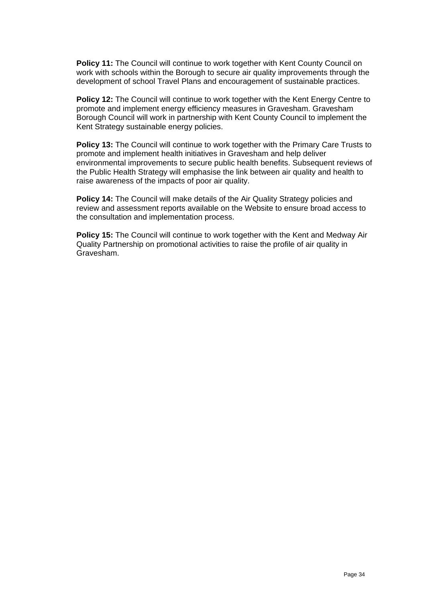**Policy 11:** The Council will continue to work together with Kent County Council on work with schools within the Borough to secure air quality improvements through the development of school Travel Plans and encouragement of sustainable practices.

**Policy 12:** The Council will continue to work together with the Kent Energy Centre to promote and implement energy efficiency measures in Gravesham. Gravesham Borough Council will work in partnership with Kent County Council to implement the Kent Strategy sustainable energy policies.

**Policy 13:** The Council will continue to work together with the Primary Care Trusts to promote and implement health initiatives in Gravesham and help deliver environmental improvements to secure public health benefits. Subsequent reviews of the Public Health Strategy will emphasise the link between air quality and health to raise awareness of the impacts of poor air quality.

**Policy 14:** The Council will make details of the Air Quality Strategy policies and review and assessment reports available on the Website to ensure broad access to the consultation and implementation process.

**Policy 15:** The Council will continue to work together with the Kent and Medway Air Quality Partnership on promotional activities to raise the profile of air quality in Gravesham.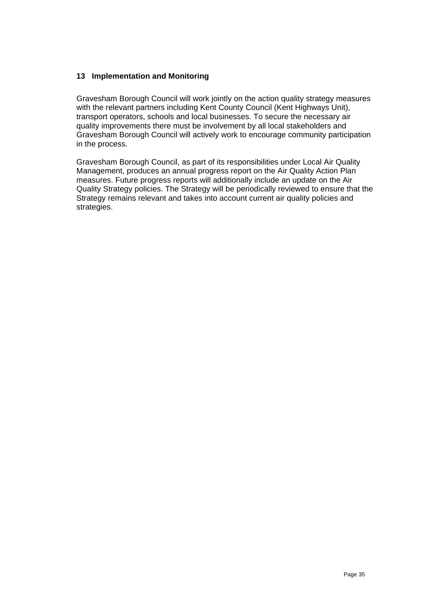## **13 Implementation and Monitoring**

Gravesham Borough Council will work jointly on the action quality strategy measures with the relevant partners including Kent County Council (Kent Highways Unit), transport operators, schools and local businesses. To secure the necessary air quality improvements there must be involvement by all local stakeholders and Gravesham Borough Council will actively work to encourage community participation in the process.

Gravesham Borough Council, as part of its responsibilities under Local Air Quality Management, produces an annual progress report on the Air Quality Action Plan measures. Future progress reports will additionally include an update on the Air Quality Strategy policies. The Strategy will be periodically reviewed to ensure that the Strategy remains relevant and takes into account current air quality policies and strategies.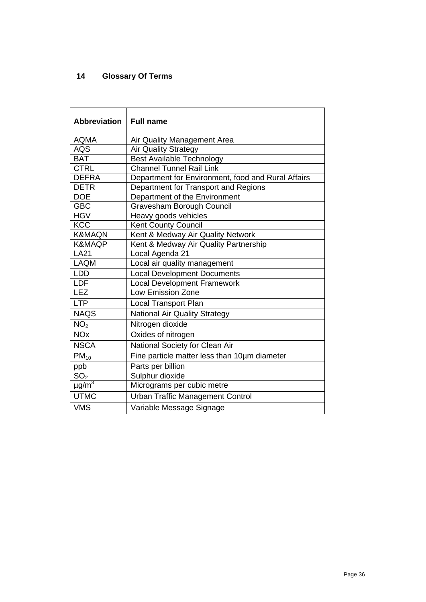# **14 Glossary Of Terms**

| <b>Abbreviation</b>      | <b>Full name</b>                                   |
|--------------------------|----------------------------------------------------|
| <b>AQMA</b>              | Air Quality Management Area                        |
| <b>AQS</b>               | <b>Air Quality Strategy</b>                        |
| <b>BAT</b>               | <b>Best Available Technology</b>                   |
| <b>CTRL</b>              | <b>Channel Tunnel Rail Link</b>                    |
| <b>DEFRA</b>             | Department for Environment, food and Rural Affairs |
| <b>DETR</b>              | Department for Transport and Regions               |
| <b>DOE</b>               | Department of the Environment                      |
| <b>GBC</b>               | Gravesham Borough Council                          |
| <b>HGV</b>               | Heavy goods vehicles                               |
| <b>KCC</b>               | <b>Kent County Council</b>                         |
| <b>K&amp;MAQN</b>        | Kent & Medway Air Quality Network                  |
| <b>K&amp;MAQP</b>        | Kent & Medway Air Quality Partnership              |
| <b>LA21</b>              | Local Agenda 21                                    |
| <b>LAQM</b>              | Local air quality management                       |
| <b>LDD</b>               | <b>Local Development Documents</b>                 |
| LDF                      | <b>Local Development Framework</b>                 |
| <b>LEZ</b>               | Low Emission Zone                                  |
| <b>LTP</b>               | <b>Local Transport Plan</b>                        |
| <b>NAQS</b>              | <b>National Air Quality Strategy</b>               |
| NO <sub>2</sub>          | Nitrogen dioxide                                   |
| <b>NO<sub>x</sub></b>    | Oxides of nitrogen                                 |
| <b>NSCA</b>              | National Society for Clean Air                     |
| $PM_{10}$                | Fine particle matter less than 10um diameter       |
| Parts per billion<br>ppb |                                                    |
| SO <sub>2</sub>          | Sulphur dioxide                                    |
| $\mu$ g/m <sup>3</sup>   | Micrograms per cubic metre                         |
| <b>UTMC</b>              | <b>Urban Traffic Management Control</b>            |
| <b>VMS</b>               | Variable Message Signage                           |